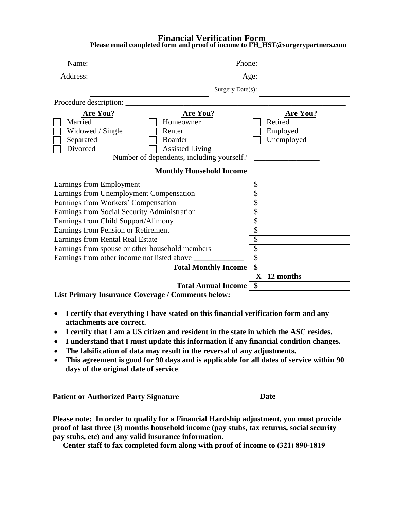## **Financial Verification Form Please email completed form and proof of income to FH\_HST@surgerypartners.com**

| Name:                                                                                                                                                                | Phone:                            |  |  |
|----------------------------------------------------------------------------------------------------------------------------------------------------------------------|-----------------------------------|--|--|
| Address:                                                                                                                                                             | Age:                              |  |  |
|                                                                                                                                                                      | Surgery Date(s):                  |  |  |
| Procedure description:                                                                                                                                               |                                   |  |  |
| <b>Are You?</b><br>Are You?                                                                                                                                          | <b>Are You?</b>                   |  |  |
| Married<br>Homeowner<br>Widowed / Single<br>Renter<br>Separated<br><b>Boarder</b><br>Divorced<br><b>Assisted Living</b><br>Number of dependents, including yourself? | Retired<br>Employed<br>Unemployed |  |  |
| <b>Monthly Household Income</b>                                                                                                                                      |                                   |  |  |
| Earnings from Employment                                                                                                                                             |                                   |  |  |
| Earnings from Unemployment Compensation                                                                                                                              |                                   |  |  |
| Earnings from Workers' Compensation                                                                                                                                  |                                   |  |  |
| Earnings from Social Security Administration                                                                                                                         | \$                                |  |  |
| Earnings from Child Support/Alimony                                                                                                                                  | $\overline{\$}$                   |  |  |
| Earnings from Pension or Retirement                                                                                                                                  | \$                                |  |  |
| Earnings from Rental Real Estate                                                                                                                                     | \$                                |  |  |
| Earnings from spouse or other household members                                                                                                                      |                                   |  |  |
| Earnings from other income not listed above                                                                                                                          |                                   |  |  |
| <b>Total Monthly Income</b>                                                                                                                                          | $\overline{\$}$                   |  |  |
|                                                                                                                                                                      | $\mathbf X$<br>12 months          |  |  |
|                                                                                                                                                                      | <b>Total Annual Income \$</b>     |  |  |
| <b>List Primary Insurance Coverage / Comments below:</b>                                                                                                             |                                   |  |  |

- **I certify that everything I have stated on this financial verification form and any attachments are correct.**
- **I certify that I am a US citizen and resident in the state in which the ASC resides.**
- **I understand that I must update this information if any financial condition changes.**
- **The falsification of data may result in the reversal of any adjustments.**
- **This agreement is good for 90 days and is applicable for all dates of service within 90 days of the original date of service**.

**Patient or Authorized Party Signature Date** 

**Please note: In order to qualify for a Financial Hardship adjustment, you must provide proof of last three (3) months household income (pay stubs, tax returns, social security pay stubs, etc) and any valid insurance information.**

**Center staff to fax completed form along with proof of income to (321) 890-1819**